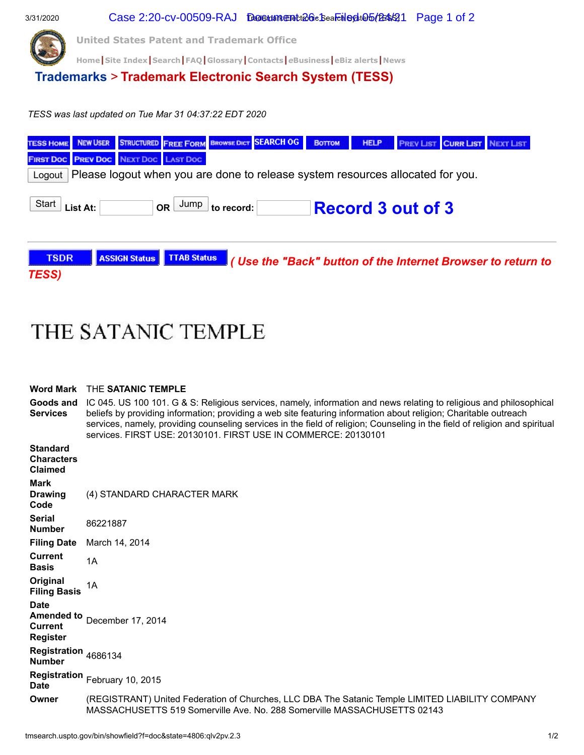

## THE SATANIC TEMPLE

| <b>Word Mark</b>                                                      | THE SATANIC TEMPLE                                                                                                                                                                                                                                                                                                                                                                                                                       |  |  |  |  |  |  |
|-----------------------------------------------------------------------|------------------------------------------------------------------------------------------------------------------------------------------------------------------------------------------------------------------------------------------------------------------------------------------------------------------------------------------------------------------------------------------------------------------------------------------|--|--|--|--|--|--|
| Goods and<br><b>Services</b>                                          | IC 045. US 100 101. G & S: Religious services, namely, information and news relating to religious and philosophical<br>beliefs by providing information; providing a web site featuring information about religion; Charitable outreach<br>services, namely, providing counseling services in the field of religion; Counseling in the field of religion and spiritual<br>services. FIRST USE: 20130101. FIRST USE IN COMMERCE: 20130101 |  |  |  |  |  |  |
| <b>Standard</b><br><b>Characters</b><br><b>Claimed</b>                |                                                                                                                                                                                                                                                                                                                                                                                                                                          |  |  |  |  |  |  |
| <b>Mark</b><br><b>Drawing</b><br>Code                                 | (4) STANDARD CHARACTER MARK                                                                                                                                                                                                                                                                                                                                                                                                              |  |  |  |  |  |  |
| <b>Serial</b><br><b>Number</b>                                        | 86221887                                                                                                                                                                                                                                                                                                                                                                                                                                 |  |  |  |  |  |  |
| <b>Filing Date</b>                                                    | March 14, 2014                                                                                                                                                                                                                                                                                                                                                                                                                           |  |  |  |  |  |  |
| <b>Current</b><br><b>Basis</b>                                        | 1A                                                                                                                                                                                                                                                                                                                                                                                                                                       |  |  |  |  |  |  |
| Original<br><b>Filing Basis</b>                                       | 1A                                                                                                                                                                                                                                                                                                                                                                                                                                       |  |  |  |  |  |  |
| <b>Date</b><br><b>Amended to</b><br><b>Current</b><br><b>Register</b> | December 17, 2014                                                                                                                                                                                                                                                                                                                                                                                                                        |  |  |  |  |  |  |
| Registration 4686134<br><b>Number</b>                                 |                                                                                                                                                                                                                                                                                                                                                                                                                                          |  |  |  |  |  |  |
| <b>Date</b>                                                           | Registration February 10, 2015                                                                                                                                                                                                                                                                                                                                                                                                           |  |  |  |  |  |  |

**Owner** (REGISTRANT) United Federation of Churches, LLC DBA The Satanic Temple LIMITED LIABILITY COMPANY MASSACHUSETTS 519 Somerville Ave. No. 288 Somerville MASSACHUSETTS 02143